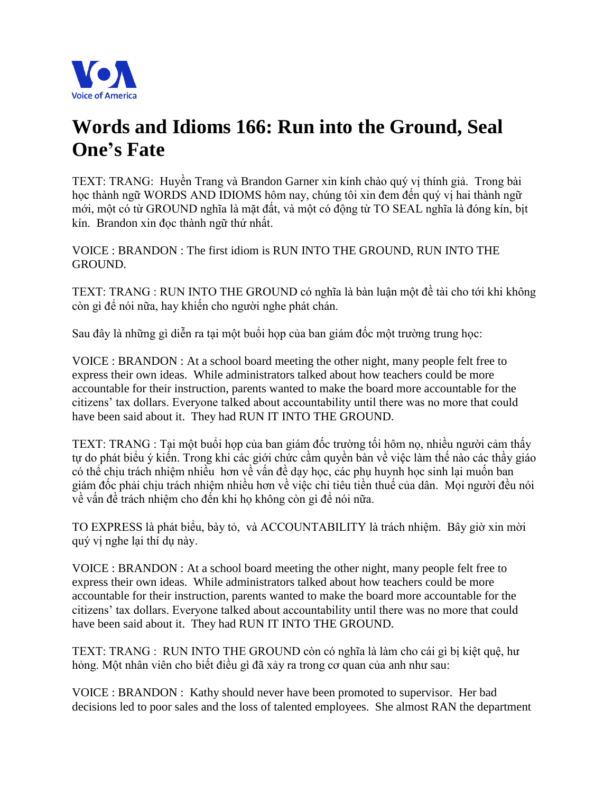

## **Words and Idioms 166: Run into the Ground, Seal One's Fate**

TEXT: TRANG: Huyền Trang và Brandon Garner xin kính chào quý vi thính giả. Trong bài học thành ngữ WORDS AND IDIOMS hôm nay, chúng tôi xin đem đến quý vị hai thành ngữ mới, một có từ GROUND nghĩa là mặt đất, và một có động từ TO SEAL nghĩa là đóng kín, bịt kín. Brandon xin đọc thành ngữ thứ nhất.

VOICE : BRANDON : The first idiom is RUN INTO THE GROUND, RUN INTO THE GROUND.

TEXT: TRANG : RUN INTO THE GROUND có nghĩa là bàn luận một đề tài cho tới khi không còn gì để nói nữa, hay khiến cho người nghe phát chán.

Sau đây là những gì diễn ra tai một buổi họp của ban giám đốc một trường trung học:

VOICE : BRANDON : At a school board meeting the other night, many people felt free to express their own ideas. While administrators talked about how teachers could be more accountable for their instruction, parents wanted to make the board more accountable for the citizens' tax dollars. Everyone talked about accountability until there was no more that could have been said about it. They had RUN IT INTO THE GROUND.

TEXT: TRANG : Tại một buổi họp của ban giám đốc trường tối hôm nọ, nhiều người cảm thấy tư do phát biểu ý kiến. Trong khi các giới chức cầm quyền bàn về việc làm thế nào các thầy giáo có thể chịu trách nhiệm nhiều hơn về vấn đề dạy học, các phụ huynh học sinh lại muốn ban giám đốc phải chiu trách nhiệm nhiều hơn về việc chi tiêu tiền thuế của dân. Moi người đều nói về vấn đề trách nhiệm cho đến khi họ không còn gì để nói nữa.

TO EXPRESS là phát biểu, bày tỏ, và ACCOUNTABILITY là trách nhiệm. Bây giờ xin mời quý vi nghe lai thí du này.

VOICE : BRANDON : At a school board meeting the other night, many people felt free to express their own ideas. While administrators talked about how teachers could be more accountable for their instruction, parents wanted to make the board more accountable for the citizens' tax dollars. Everyone talked about accountability until there was no more that could have been said about it. They had RUN IT INTO THE GROUND.

TEXT: TRANG : RUN INTO THE GROUND còn có nghĩa là làm cho cái gì bị kiệt quệ, hư hỏng. Một nhân viên cho biết điều gì đã xảy ra trong cơ quan của anh như sau:

VOICE : BRANDON : Kathy should never have been promoted to supervisor. Her bad decisions led to poor sales and the loss of talented employees. She almost RAN the department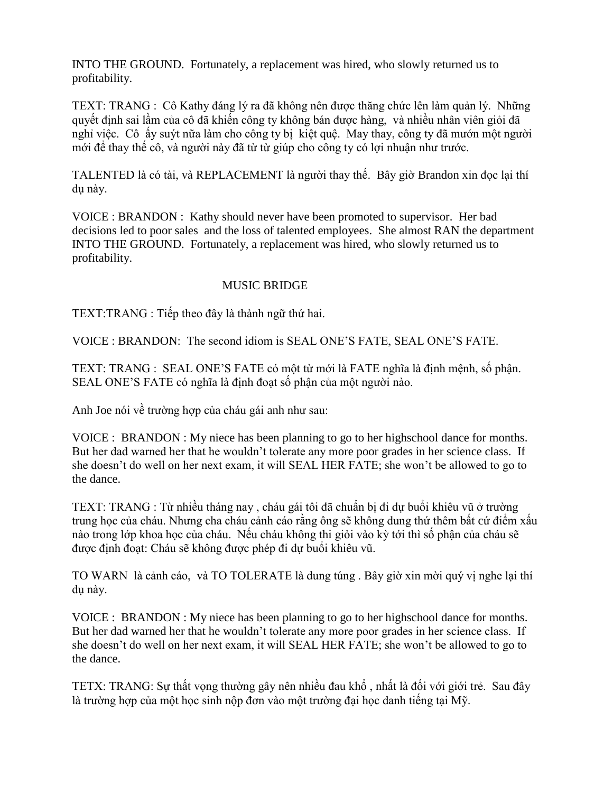INTO THE GROUND. Fortunately, a replacement was hired, who slowly returned us to profitability.

TEXT: TRANG : Cô Kathy đáng lý ra đã không nên được thăng chức lên làm quản lý. Những quyết đinh sai lầm của cô đã khiến công ty không bán được hàng, và nhiều nhân viên giỏi đã nghỉ việc. Cô ấy suýt nữa làm cho công ty bi kiệt quê. May thay, công ty đã mướn một người mới để thay thế cô, và người này đã từ từ giúp cho công ty có lợi nhuận như trước.

TALENTED là có tài, và REPLACEMENT là người thay thế. Bây giờ Brandon xin đọc lại thí du này.

VOICE : BRANDON : Kathy should never have been promoted to supervisor. Her bad decisions led to poor sales and the loss of talented employees. She almost RAN the department INTO THE GROUND. Fortunately, a replacement was hired, who slowly returned us to profitability.

## MUSIC BRIDGE

TEXT: TRANG : Tiếp theo đây là thành ngữ thứ hai.

VOICE : BRANDON: The second idiom is SEAL ONE'S FATE, SEAL ONE'S FATE.

TEXT: TRANG : SEAL ONE'S FATE có môt từ mới là FATE nghĩa là đinh mênh, số phân. SEAL ONE'S FATE có nghĩa là định đoạt số phân của một người nào.

Anh Joe nói về trường hợp của cháu gái anh như sau:

VOICE : BRANDON : My niece has been planning to go to her highschool dance for months. But her dad warned her that he wouldn't tolerate any more poor grades in her science class. If she doesn't do well on her next exam, it will SEAL HER FATE; she won't be allowed to go to the dance.

TEXT: TRANG : Từ nhiều tháng nay, cháu gái tôi đã chuẩn bị đi dư buổi khiêu vũ ở trường trung học của cháu. Nhưng cha cháu cảnh cáo rằng ông sẽ không dung thứ thêm bất cứ điểm xấu nào trong lớp khoa học của cháu. Nếu cháu không thi giỏi vào kỳ tới thì số phân của cháu sẽ được định đoạt: Cháu sẽ không được phép đi dự buổi khiêu vũ.

TO WARN là cảnh cáo, và TO TOLERATE là dung túng. Bây giờ xin mời quý vi nghe lai thí du nàv.

VOICE : BRANDON : My niece has been planning to go to her highschool dance for months. But her dad warned her that he wouldn't tolerate any more poor grades in her science class. If she doesn't do well on her next exam, it will SEAL HER FATE; she won't be allowed to go to the dance.

TETX: TRANG: Sư thất vong thường gây nên nhiều đau khổ, nhất là đối với giới trẻ. Sau đây là trường hợp của một học sinh nộp đơn vào một trường đại học danh tiếng tại Mỹ.